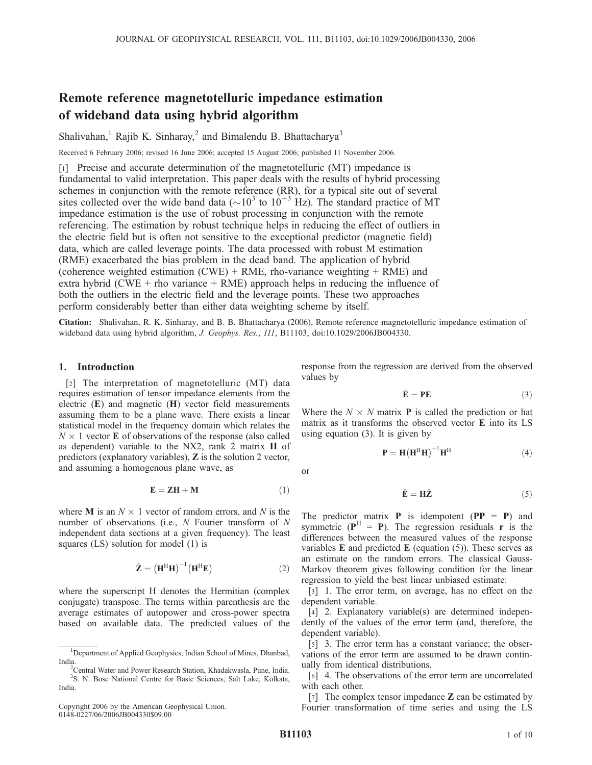# Remote reference magnetotelluric impedance estimation of wideband data using hybrid algorithm

Shalivahan,<sup>1</sup> Rajib K. Sinharay,<sup>2</sup> and Bimalendu B. Bhattacharya<sup>3</sup>

Received 6 February 2006; revised 16 June 2006; accepted 15 August 2006; published 11 November 2006.

[1] Precise and accurate determination of the magnetotelluric (MT) impedance is fundamental to valid interpretation. This paper deals with the results of hybrid processing schemes in conjunction with the remote reference (RR), for a typical site out of several sites collected over the wide band data ( $\sim 10^{3}$  to  $10^{-3}$  Hz). The standard practice of MT impedance estimation is the use of robust processing in conjunction with the remote referencing. The estimation by robust technique helps in reducing the effect of outliers in the electric field but is often not sensitive to the exceptional predictor (magnetic field) data, which are called leverage points. The data processed with robust M estimation (RME) exacerbated the bias problem in the dead band. The application of hybrid (coherence weighted estimation  $(CWE)$  + RME, rho-variance weighting + RME) and extra hybrid (CWE + rho variance + RME) approach helps in reducing the influence of both the outliers in the electric field and the leverage points. These two approaches perform considerably better than either data weighting scheme by itself.

Citation: Shalivahan, R. K. Sinharay, and B. B. Bhattacharya (2006), Remote reference magnetotelluric impedance estimation of wideband data using hybrid algorithm, J. Geophys. Res., 111, B11103, doi:10.1029/2006JB004330.

## 1. Introduction

[2] The interpretation of magnetotelluric (MT) data requires estimation of tensor impedance elements from the electric  $(E)$  and magnetic  $(H)$  vector field measurements assuming them to be a plane wave. There exists a linear statistical model in the frequency domain which relates the  $N \times 1$  vector **E** of observations of the response (also called as dependent) variable to the NX2, rank 2 matrix H of predictors (explanatory variables), Z is the solution 2 vector, and assuming a homogenous plane wave, as

$$
\mathbf{E} = \mathbf{Z}\mathbf{H} + \mathbf{M} \tag{1}
$$

where **M** is an  $N \times 1$  vector of random errors, and N is the number of observations (i.e.,  $N$  Fourier transform of  $N$ independent data sections at a given frequency). The least squares (LS) solution for model (1) is

$$
\hat{\mathbf{Z}} = \left(\mathbf{H}^{\mathrm{H}}\mathbf{H}\right)^{-1}\left(\mathbf{H}^{\mathrm{H}}\mathbf{E}\right)
$$
 (2)

where the superscript H denotes the Hermitian (complex conjugate) transpose. The terms within parenthesis are the average estimates of autopower and cross-power spectra based on available data. The predicted values of the response from the regression are derived from the observed values by

$$
\hat{\mathbf{E}} = \mathbf{P}\mathbf{E} \tag{3}
$$

Where the  $N \times N$  matrix **P** is called the prediction or hat matrix as it transforms the observed vector E into its LS using equation (3). It is given by

 $\mathbf{P}=\mathbf{H}\big(\mathbf{H}^{\mathrm{H}}\mathbf{H}\big)^{-1}\mathbf{H}^{\mathrm{H}}$ 

or

$$
\hat{\mathbf{E}} = \mathbf{H}\hat{\mathbf{Z}} \tag{5}
$$

The predictor matrix **P** is idempotent ( $PP = P$ ) and symmetric ( $P^H = P$ ). The regression residuals r is the differences between the measured values of the response variables  $E$  and predicted  $E$  (equation (5)). These serves as an estimate on the random errors. The classical Gauss-Markov theorem gives following condition for the linear regression to yield the best linear unbiased estimate:

[3] 1. The error term, on average, has no effect on the dependent variable.

[4] 2. Explanatory variable(s) are determined independently of the values of the error term (and, therefore, the dependent variable).

[5] 3. The error term has a constant variance; the observations of the error term are assumed to be drawn continually from identical distributions.

[6] 4. The observations of the error term are uncorrelated with each other.

[7] The complex tensor impedance  $\mathbb Z$  can be estimated by Fourier transformation of time series and using the LS

 $(4)$ 

<sup>&</sup>lt;sup>1</sup>Department of Applied Geophysics, Indian School of Mines, Dhanbad, India.

<sup>&</sup>lt;sup>2</sup>Central Water and Power Research Station, Khadakwasla, Pune, India. 3 S. N. Bose National Centre for Basic Sciences, Salt Lake, Kolkata, India.

Copyright 2006 by the American Geophysical Union. 0148-0227/06/2006JB004330\$09.00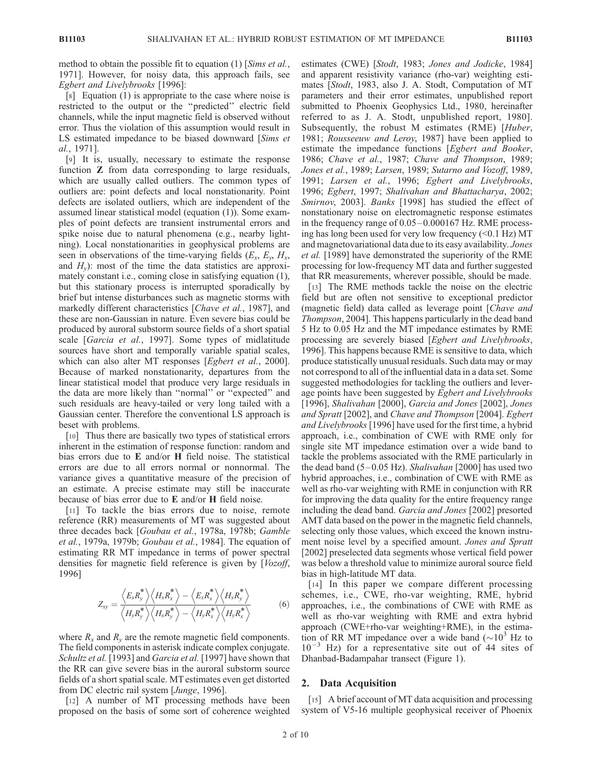method to obtain the possible fit to equation (1) [Sims et al., 1971]. However, for noisy data, this approach fails, see Egbert and Livelybrooks [1996]:

[8] Equation (1) is appropriate to the case where noise is restricted to the output or the ''predicted'' electric field channels, while the input magnetic field is observed without error. Thus the violation of this assumption would result in LS estimated impedance to be biased downward [Sims et al., 1971].

[9] It is, usually, necessary to estimate the response function **Z** from data corresponding to large residuals, which are usually called outliers. The common types of outliers are: point defects and local nonstationarity. Point defects are isolated outliers, which are independent of the assumed linear statistical model (equation (1)). Some examples of point defects are transient instrumental errors and spike noise due to natural phenomena (e.g., nearby lightning). Local nonstationarities in geophysical problems are seen in observations of the time-varying fields  $(E_x, E_y, H_x,$ and  $H_y$ ): most of the time the data statistics are approximately constant i.e., coming close in satisfying equation (1), but this stationary process is interrupted sporadically by brief but intense disturbances such as magnetic storms with markedly different characteristics [Chave et al., 1987], and these are non-Gaussian in nature. Even severe bias could be produced by auroral substorm source fields of a short spatial scale [Garcia et al., 1997]. Some types of midlatitude sources have short and temporally variable spatial scales, which can also alter MT responses [Egbert et al., 2000]. Because of marked nonstationarity, departures from the linear statistical model that produce very large residuals in the data are more likely than ''normal'' or ''expected'' and such residuals are heavy-tailed or very long tailed with a Gaussian center. Therefore the conventional LS approach is beset with problems.

[10] Thus there are basically two types of statistical errors inherent in the estimation of response function: random and bias errors due to E and/or H field noise. The statistical errors are due to all errors normal or nonnormal. The variance gives a quantitative measure of the precision of an estimate. A precise estimate may still be inaccurate because of bias error due to E and/or H field noise.

[11] To tackle the bias errors due to noise, remote reference (RR) measurements of MT was suggested about three decades back [Goubau et al., 1978a, 1978b; Gamble et al., 1979a, 1979b; Goubau et al., 1984]. The equation of estimating RR MT impedance in terms of power spectral densities for magnetic field reference is given by [Vozoff, 1996]

$$
Z_{xy} = \frac{\langle E_x R_y^* \rangle \langle H_x R_x^* \rangle - \langle E_x R_x^* \rangle \langle H_x R_y^* \rangle}{\langle H_y R_y^* \rangle \langle H_x R_y^* \rangle - \langle H_y R_x^* \rangle \langle H_y R_x^* \rangle}
$$
(6)

where  $R_x$  and  $R_y$  are the remote magnetic field components. The field components in asterisk indicate complex conjugate. Schultz et al. [1993] and Garcia et al. [1997] have shown that the RR can give severe bias in the auroral substorm source fields of a short spatial scale. MT estimates even get distorted from DC electric rail system [Junge, 1996].

[12] A number of MT processing methods have been proposed on the basis of some sort of coherence weighted estimates (CWE) [Stodt, 1983; Jones and Jodicke, 1984] and apparent resistivity variance (rho-var) weighting estimates [Stodt, 1983, also J. A. Stodt, Computation of MT parameters and their error estimates, unpublished report submitted to Phoenix Geophysics Ltd., 1980, hereinafter referred to as J. A. Stodt, unpublished report, 1980]. Subsequently, the robust M estimates (RME) [Huber, 1981; Rousseeuw and Leroy, 1987] have been applied to estimate the impedance functions [Egbert and Booker, 1986; Chave et al., 1987; Chave and Thompson, 1989; Jones et al., 1989; Larsen, 1989; Sutarno and Vozoff, 1989, 1991; Larsen et al., 1996; Egbert and Livelybrooks, 1996; Egbert, 1997; Shalivahan and Bhattacharya, 2002; Smirnov, 2003]. Banks [1998] has studied the effect of nonstationary noise on electromagnetic response estimates in the frequency range of 0.05 – 0.000167 Hz. RME processing has long been used for very low frequency (<0.1 Hz) MT and magnetovariational data due to its easy availability. Jones et al. [1989] have demonstrated the superiority of the RME processing for low-frequency MT data and further suggested that RR measurements, wherever possible, should be made.

[13] The RME methods tackle the noise on the electric field but are often not sensitive to exceptional predictor (magnetic field) data called as leverage point [Chave and Thompson, 2004]. This happens particularly in the dead band 5 Hz to 0.05 Hz and the MT impedance estimates by RME processing are severely biased [Egbert and Livelybrooks, 1996]. This happens because RME is sensitive to data, which produce statistically unusual residuals. Such data may or may not correspond to all of the influential data in a data set. Some suggested methodologies for tackling the outliers and leverage points have been suggested by Egbert and Livelybrooks [1996], Shalivahan [2000], Garcia and Jones [2002], Jones and Spratt [2002], and Chave and Thompson [2004]. Egbert and Livelybrooks [1996] have used for the first time, a hybrid approach, i.e., combination of CWE with RME only for single site MT impedance estimation over a wide band to tackle the problems associated with the RME particularly in the dead band  $(5-0.05 \text{ Hz})$ . Shalivahan [2000] has used two hybrid approaches, i.e., combination of CWE with RME as well as rho-var weighting with RME in conjunction with RR for improving the data quality for the entire frequency range including the dead band. Garcia and Jones [2002] presorted AMT data based on the power in the magnetic field channels, selecting only those values, which exceed the known instrument noise level by a specified amount. Jones and Spratt [2002] preselected data segments whose vertical field power was below a threshold value to minimize auroral source field bias in high-latitude MT data.

[14] In this paper we compare different processing schemes, i.e., CWE, rho-var weighting, RME, hybrid approaches, i.e., the combinations of CWE with RME as well as rho-var weighting with RME and extra hybrid approach (CWE+rho-var weighting+RME), in the estimation of RR MT impedance over a wide band  $({\sim}10^3$  Hz to  $10^{-3}$  Hz) for a representative site out of 44 sites of Dhanbad-Badampahar transect (Figure 1).

## 2. Data Acquisition

[15] A brief account of MT data acquisition and processing system of V5-16 multiple geophysical receiver of Phoenix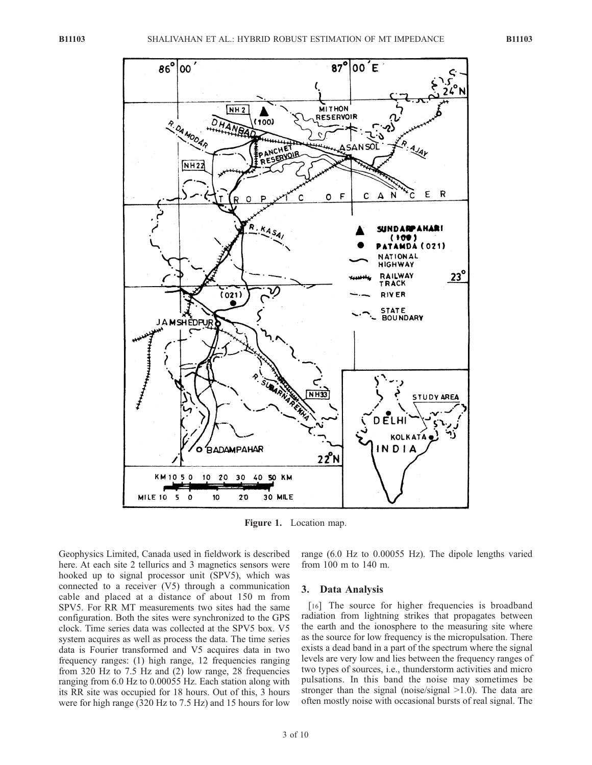

Figure 1. Location map.

Geophysics Limited, Canada used in fieldwork is described here. At each site 2 tellurics and 3 magnetics sensors were hooked up to signal processor unit (SPV5), which was connected to a receiver (V5) through a communication cable and placed at a distance of about 150 m from SPV5. For RR MT measurements two sites had the same configuration. Both the sites were synchronized to the GPS clock. Time series data was collected at the SPV5 box. V5 system acquires as well as process the data. The time series data is Fourier transformed and V5 acquires data in two frequency ranges: (1) high range, 12 frequencies ranging from 320 Hz to 7.5 Hz and (2) low range, 28 frequencies ranging from 6.0 Hz to 0.00055 Hz. Each station along with its RR site was occupied for 18 hours. Out of this, 3 hours were for high range (320 Hz to 7.5 Hz) and 15 hours for low

range (6.0 Hz to 0.00055 Hz). The dipole lengths varied from 100 m to 140 m.

# 3. Data Analysis

[16] The source for higher frequencies is broadband radiation from lightning strikes that propagates between the earth and the ionosphere to the measuring site where as the source for low frequency is the micropulsation. There exists a dead band in a part of the spectrum where the signal levels are very low and lies between the frequency ranges of two types of sources, i.e., thunderstorm activities and micro pulsations. In this band the noise may sometimes be stronger than the signal (noise/signal >1.0). The data are often mostly noise with occasional bursts of real signal. The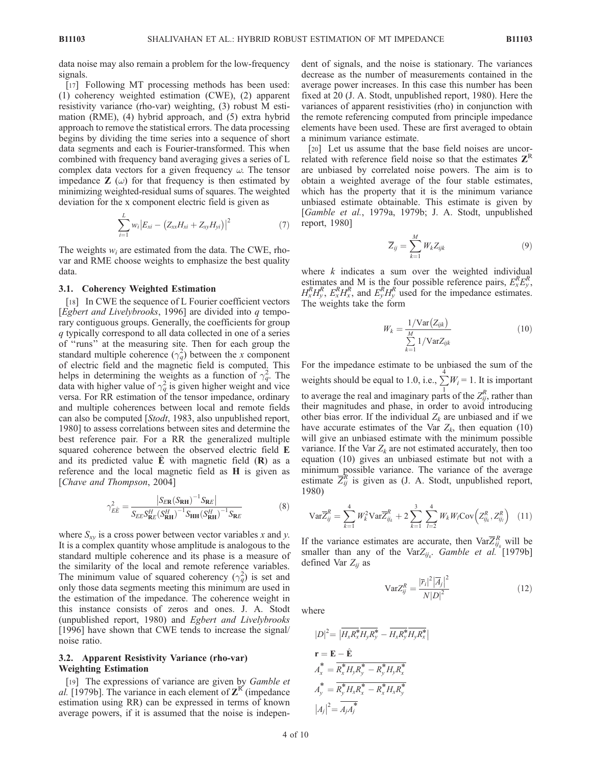data noise may also remain a problem for the low-frequency signals.

[17] Following MT processing methods has been used: (1) coherency weighted estimation (CWE), (2) apparent resistivity variance (rho-var) weighting, (3) robust M estimation (RME), (4) hybrid approach, and (5) extra hybrid approach to remove the statistical errors. The data processing begins by dividing the time series into a sequence of short data segments and each is Fourier-transformed. This when combined with frequency band averaging gives a series of L complex data vectors for a given frequency  $\omega$ . The tensor impedance  $\mathbf{Z}(\omega)$  for that frequency is then estimated by minimizing weighted-residual sums of squares. The weighted deviation for the x component electric field is given as

$$
\sum_{i=1}^{L} w_i |E_{xi} - (Z_{xx}H_{xi} + Z_{xy}H_{yi})|^2
$$
\n(7)

The weights  $w_i$  are estimated from the data. The CWE, rhovar and RME choose weights to emphasize the best quality data.

#### 3.1. Coherency Weighted Estimation

[18] In CWE the sequence of L Fourier coefficient vectors [Egbert and Livelybrooks, 1996] are divided into  $q$  temporary contiguous groups. Generally, the coefficients for group q typically correspond to all data collected in one of a series of ''runs'' at the measuring site. Then for each group the standard multiple coherence  $(\gamma_q^2)$  between the x component of electric field and the magnetic field is computed. This helps in determining the weights as a function of  $\gamma_q^2$ . The data with higher value of  $\gamma_q^2$  is given higher weight and vice versa. For RR estimation of the tensor impedance, ordinary and multiple coherences between local and remote fields can also be computed [Stodt, 1983, also unpublished report, 1980] to assess correlations between sites and determine the best reference pair. For a RR the generalized multiple squared coherence between the observed electric field E and its predicted value  $E$  with magnetic field  $(R)$  as a reference and the local magnetic field as H is given as [Chave and Thompson, 2004]

$$
\gamma_{E\hat{E}}^2 = \frac{|S_{E\mathbf{R}}(S_{\mathbf{R}\mathbf{H}})^{-1} S_{\mathbf{R}E}|}{S_{E\mathbf{E}} S_{\mathbf{R}E}^H (S_{\mathbf{R}\mathbf{H}}^H)^{-1} S_{\mathbf{H}\mathbf{H}} (S_{\mathbf{R}\mathbf{H}}^H)^{-1} S_{\mathbf{R}E}}
$$
(8)

where  $S_{xy}$  is a cross power between vector variables x and y. It is a complex quantity whose amplitude is analogous to the standard multiple coherence and its phase is a measure of the similarity of the local and remote reference variables. The minimum value of squared coherency  $(\gamma_q^2)$  is set and only those data segments meeting this minimum are used in the estimation of the impedance. The coherence weight in this instance consists of zeros and ones. J. A. Stodt (unpublished report, 1980) and Egbert and Livelybrooks [1996] have shown that CWE tends to increase the signal/ noise ratio.

## 3.2. Apparent Resistivity Variance (rho-var) Weighting Estimation

[19] The expressions of variance are given by *Gamble et* al. [1979b]. The variance in each element of  $Z^{R'}$  (impedance estimation using RR) can be expressed in terms of known average powers, if it is assumed that the noise is independent of signals, and the noise is stationary. The variances decrease as the number of measurements contained in the average power increases. In this case this number has been fixed at 20 (J. A. Stodt, unpublished report, 1980). Here the variances of apparent resistivities (rho) in conjunction with the remote referencing computed from principle impedance elements have been used. These are first averaged to obtain a minimum variance estimate.

[20] Let us assume that the base field noises are uncorrelated with reference field noise so that the estimates  $Z<sup>R</sup>$ are unbiased by correlated noise powers. The aim is to obtain a weighted average of the four stable estimates, which has the property that it is the minimum variance unbiased estimate obtainable. This estimate is given by [Gamble et al., 1979a, 1979b; J. A. Stodt, unpublished report, 1980]

$$
\overline{Z}_{ij} = \sum_{k=1}^{M} W_k Z_{ijk} \tag{9}
$$

where  $k$  indicates a sum over the weighted individual estimates and M is the four possible reference pairs,  $E_x^R E_y^R$ ,  $H_x^R H_y^R$ ,  $E_x^R H_x^R$ , and  $E_y^R H_y^R$  used for the impedance estimates. The weights take the form

$$
W_k = \frac{1/\text{Var}(Z_{ijk})}{\sum\limits_{k=1}^{M} 1/\text{Var}Z_{ijk}}
$$
(10)

For the impedance estimate to be unbiased the sum of the weights should be equal to 1.0, i.e.,  $\sum_{i=1}^{4} W_i = 1$ . It is important to average the real and imaginary parts of the  $Z_{ij}^R$ , rather than their magnitudes and phase, in order to avoid introducing other bias error. If the individual  $Z_k$  are unbiased and if we have accurate estimates of the Var  $Z_k$ , then equation (10) will give an unbiased estimate with the minimum possible variance. If the Var  $Z_k$  are not estimated accurately, then too equation (10) gives an unbiased estimate but not with a minimum possible variance. The variance of the average estimate  $\overline{Z}_{ij}^R$  is given as (J. A. Stodt, unpublished report, 1980)

$$
\text{Var}\overline{Z}_{ij}^R = \sum_{k=1}^4 W_k^2 \text{Var}\overline{Z}_{ij_k}^R + 2\sum_{k=1}^3 \sum_{l=2}^4 W_k W_l \text{Cov}\Big(Z_{ij_k}^R, Z_{ij_l}^R\Big) \tag{11}
$$

If the variance estimates are accurate, then  $\text{Var}\overline{Z}_{ij_k}^R$  will be smaller than any of the Var $Z_{ij_k}$ . Gamble et al. [1979b] defined Var  $Z_{ij}$  as

> $\text{Var}Z_{ij}^R = \frac{|\overline{r}_i|^2 |\overline{A}_j|^2}{N! N^2}$  $N|D|^2$  $(12)$

where

$$
|D|^2 = |\overline{H_x R_x^* H_y R_y^*} - \overline{H_x R_y^* H_y R_x^*}|
$$
  
\n
$$
\mathbf{r} = \mathbf{E} - \hat{\mathbf{E}}
$$
  
\n
$$
A_x^* = \overline{R_x^* H_y R_y^* - R_y^* H_y R_x^*}
$$
  
\n
$$
A_y^* = \overline{R_y^* H_x R_x^* - R_x^* H_x R_y^*}
$$
  
\n
$$
|A_j|^2 = \overline{A_j A_j^*}
$$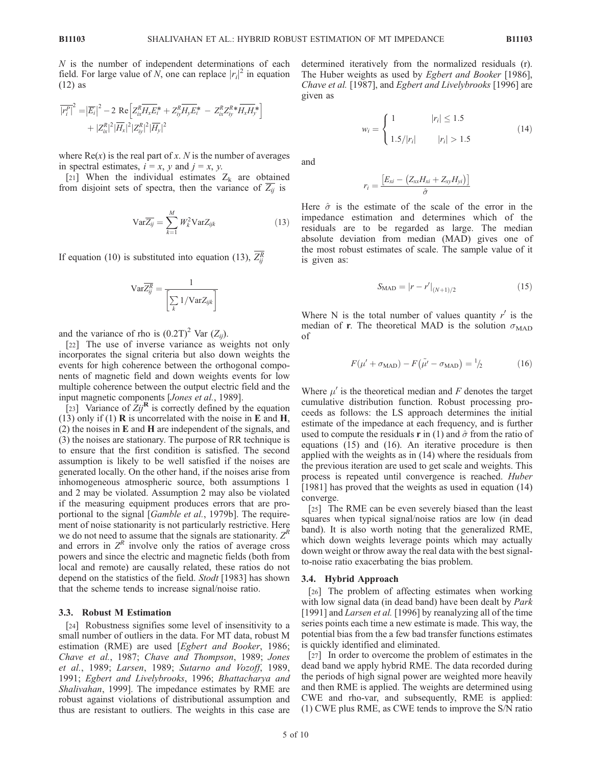$N$  is the number of independent determinations of each field. For large value of N, one can replace  $|r_i|^2$  in equation (12) as

$$
\overline{|r_i^P|}^2 = |\overline{E_i}|^2 - 2 \text{ Re} \left[ Z_{ix}^R \overline{H_x E_i^*} + Z_{iy}^R \overline{H_y E_i^*} - Z_{ix}^R Z_{iy}^R * \overline{H_x H_y^*} \right] + |Z_{ix}^R|^2 |\overline{H_x}|^2 |Z_{iy}^R|^2 |\overline{H_y}|^2
$$

where  $Re(x)$  is the real part of x. N is the number of averages in spectral estimates,  $i = x$ ,  $y$  and  $j = x$ ,  $y$ .

[21] When the individual estimates  $Z_k$  are obtained from disjoint sets of spectra, then the variance of  $\overline{Z_{ij}}$  is

$$
\text{Var}\overline{Z_{ij}} = \sum_{k=1}^{M} W_k^2 \text{Var} Z_{ijk}
$$
 (13)

If equation (10) is substituted into equation (13),  $Z_{ij}^R$ 

$$
\text{Var}\overline{Z_{ij}^R} = \frac{1}{\left[\sum_k 1/\text{Var}Z_{ijk}\right]}
$$

and the variance of rho is  $(0.2T)^2$  Var  $(Z_{ii})$ .

[22] The use of inverse variance as weights not only incorporates the signal criteria but also down weights the events for high coherence between the orthogonal components of magnetic field and down weights events for low multiple coherence between the output electric field and the input magnetic components [Jones et al., 1989].

[23] Variance of  $\overline{Z_{ij}^{\mathbf{R}}}$  is correctly defined by the equation (13) only if (1)  $\bf{R}$  is uncorrelated with the noise in  $\bf{E}$  and  $\bf{H}$ , (2) the noises in E and H are independent of the signals, and (3) the noises are stationary. The purpose of RR technique is to ensure that the first condition is satisfied. The second assumption is likely to be well satisfied if the noises are generated locally. On the other hand, if the noises arise from inhomogeneous atmospheric source, both assumptions 1 and 2 may be violated. Assumption 2 may also be violated if the measuring equipment produces errors that are proportional to the signal [Gamble et al., 1979b]. The requirement of noise stationarity is not particularly restrictive. Here we do not need to assume that the signals are stationarity.  $Z<sup>R</sup>$ and errors in  $Z<sup>R</sup>$  involve only the ratios of average cross powers and since the electric and magnetic fields (both from local and remote) are causally related, these ratios do not depend on the statistics of the field. Stodt [1983] has shown that the scheme tends to increase signal/noise ratio.

#### 3.3. Robust M Estimation

[24] Robustness signifies some level of insensitivity to a small number of outliers in the data. For MT data, robust M estimation (RME) are used [Egbert and Booker, 1986; Chave et al., 1987; Chave and Thompson, 1989; Jones et al., 1989; Larsen, 1989; Sutarno and Vozoff, 1989, 1991; Egbert and Livelybrooks, 1996; Bhattacharya and Shalivahan, 1999]. The impedance estimates by RME are robust against violations of distributional assumption and thus are resistant to outliers. The weights in this case are determined iteratively from the normalized residuals (r). The Huber weights as used by Egbert and Booker [1986], Chave et al. [1987], and Egbert and Livelybrooks [1996] are given as

$$
w_i = \begin{cases} 1 & |r_i| \le 1.5\\ 1.5/|r_i| & |r_i| > 1.5 \end{cases}
$$
(14)

and

$$
r_i = \frac{\left[E_{xi} - \left(Z_{xx}H_{xi} + Z_{xy}H_{yi}\right)\right]}{\hat{\sigma}}
$$

Here  $\hat{\sigma}$  is the estimate of the scale of the error in the impedance estimation and determines which of the residuals are to be regarded as large. The median absolute deviation from median (MAD) gives one of the most robust estimates of scale. The sample value of it is given as:

$$
S_{\text{MAD}} = |r - r'|_{(N+1)/2} \tag{15}
$$

Where N is the total number of values quantity  $r'$  is the median of **r**. The theoretical MAD is the solution  $\sigma_{\text{MAD}}$ of

$$
F(\mu' + \sigma_{\text{MAD}}) - F(\tilde{\mu}' - \sigma_{\text{MAD}}) = \frac{1}{2}
$$
 (16)

Where  $\mu'$  is the theoretical median and F denotes the target cumulative distribution function. Robust processing proceeds as follows: the LS approach determines the initial estimate of the impedance at each frequency, and is further used to compute the residuals **r** in (1) and  $\hat{\sigma}$  from the ratio of equations (15) and (16). An iterative procedure is then applied with the weights as in (14) where the residuals from the previous iteration are used to get scale and weights. This process is repeated until convergence is reached. Huber [1981] has proved that the weights as used in equation (14) converge.

[25] The RME can be even severely biased than the least squares when typical signal/noise ratios are low (in dead band). It is also worth noting that the generalized RME, which down weights leverage points which may actually down weight or throw away the real data with the best signalto-noise ratio exacerbating the bias problem.

## 3.4. Hybrid Approach

[26] The problem of affecting estimates when working with low signal data (in dead band) have been dealt by *Park* [1991] and *Larsen et al.* [1996] by reanalyzing all of the time series points each time a new estimate is made. This way, the potential bias from the a few bad transfer functions estimates is quickly identified and eliminated.

[27] In order to overcome the problem of estimates in the dead band we apply hybrid RME. The data recorded during the periods of high signal power are weighted more heavily and then RME is applied. The weights are determined using CWE and rho-var, and subsequently, RME is applied: (1) CWE plus RME, as CWE tends to improve the S/N ratio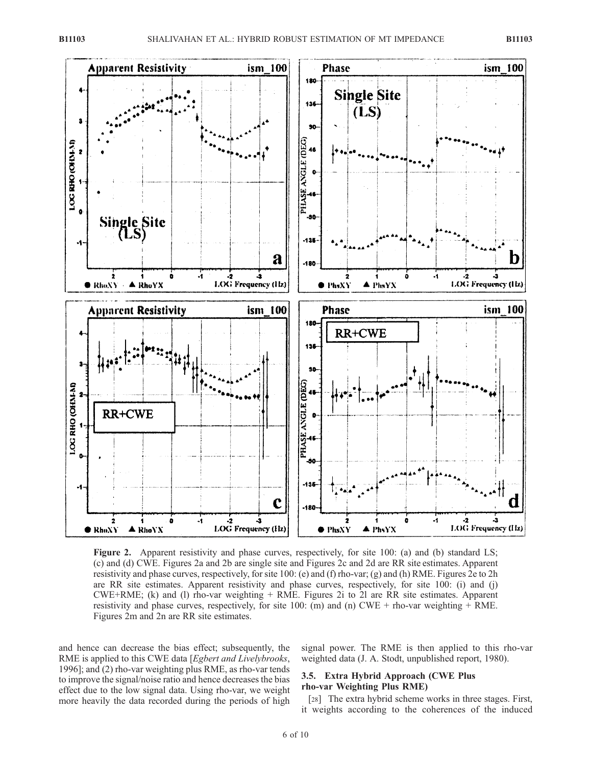

Figure 2. Apparent resistivity and phase curves, respectively, for site 100: (a) and (b) standard LS; (c) and (d) CWE. Figures 2a and 2b are single site and Figures 2c and 2d are RR site estimates. Apparent resistivity and phase curves, respectively, for site 100: (e) and (f) rho-var; (g) and (h) RME. Figures 2e to 2h are RR site estimates. Apparent resistivity and phase curves, respectively, for site 100: (i) and (j) CWE+RME; (k) and (l) rho-var weighting + RME. Figures 2i to 2l are RR site estimates. Apparent resistivity and phase curves, respectively, for site 100: (m) and (n) CWE + rho-var weighting  $+$  RME. Figures 2m and 2n are RR site estimates.

and hence can decrease the bias effect; subsequently, the RME is applied to this CWE data [Egbert and Livelybrooks, 1996]; and (2) rho-var weighting plus RME, as rho-var tends to improve the signal/noise ratio and hence decreases the bias effect due to the low signal data. Using rho-var, we weight more heavily the data recorded during the periods of high

signal power. The RME is then applied to this rho-var weighted data (J. A. Stodt, unpublished report, 1980).

## 3.5. Extra Hybrid Approach (CWE Plus rho-var Weighting Plus RME)

[28] The extra hybrid scheme works in three stages. First, it weights according to the coherences of the induced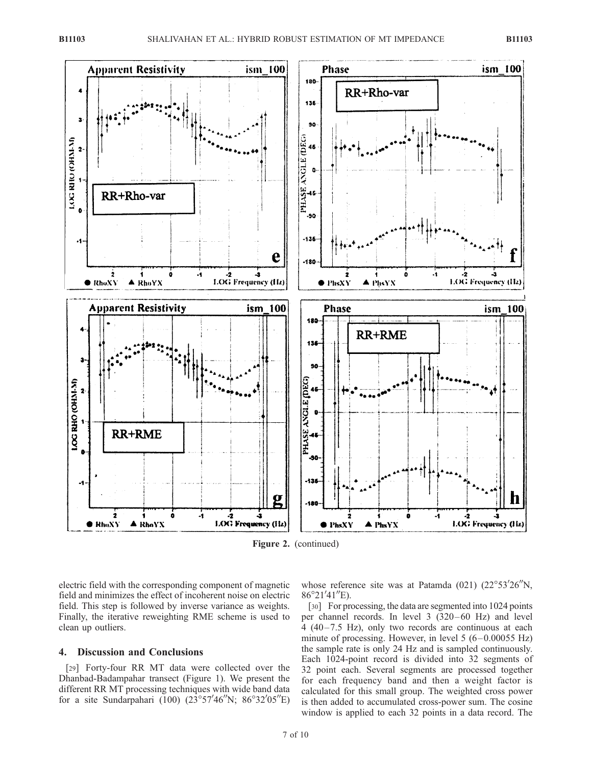

Figure 2. (continued)

electric field with the corresponding component of magnetic field and minimizes the effect of incoherent noise on electric field. This step is followed by inverse variance as weights. Finally, the iterative reweighting RME scheme is used to clean up outliers.

# 4. Discussion and Conclusions

[29] Forty-four RR MT data were collected over the Dhanbad-Badampahar transect (Figure 1). We present the different RR MT processing techniques with wide band data for a site Sundarpahari (100)  $(23^{\circ}57'46''N; 86^{\circ}32'05''E)$ 

whose reference site was at Patamda  $(021)$   $(22^{\circ}53'26''N,$  $86^{\circ}21'41''E$ ).

[30] For processing, the data are segmented into 1024 points per channel records. In level 3 (320–60 Hz) and level  $4(40-7.5 \text{ Hz})$ , only two records are continuous at each minute of processing. However, in level  $5(6-0.00055 \text{ Hz})$ the sample rate is only 24 Hz and is sampled continuously. Each 1024-point record is divided into 32 segments of 32 point each. Several segments are processed together for each frequency band and then a weight factor is calculated for this small group. The weighted cross power is then added to accumulated cross-power sum. The cosine window is applied to each 32 points in a data record. The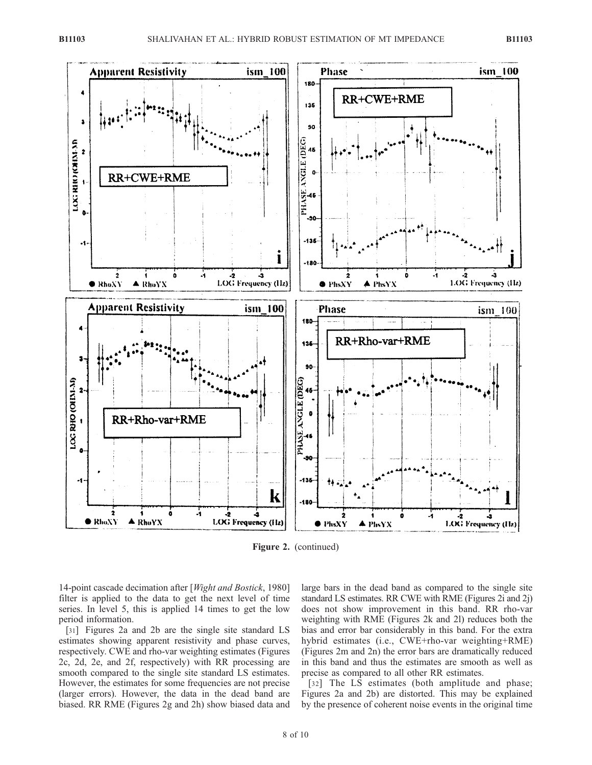

Figure 2. (continued)

14-point cascade decimation after [Wight and Bostick, 1980] filter is applied to the data to get the next level of time series. In level 5, this is applied 14 times to get the low period information.

[31] Figures 2a and 2b are the single site standard LS estimates showing apparent resistivity and phase curves, respectively. CWE and rho-var weighting estimates (Figures 2c, 2d, 2e, and 2f, respectively) with RR processing are smooth compared to the single site standard LS estimates. However, the estimates for some frequencies are not precise (larger errors). However, the data in the dead band are biased. RR RME (Figures 2g and 2h) show biased data and

large bars in the dead band as compared to the single site standard LS estimates. RR CWE with RME (Figures 2i and 2j) does not show improvement in this band. RR rho-var weighting with RME (Figures 2k and 2l) reduces both the bias and error bar considerably in this band. For the extra hybrid estimates (i.e., CWE+rho-var weighting+RME) (Figures 2m and 2n) the error bars are dramatically reduced in this band and thus the estimates are smooth as well as precise as compared to all other RR estimates.

[32] The LS estimates (both amplitude and phase; Figures 2a and 2b) are distorted. This may be explained by the presence of coherent noise events in the original time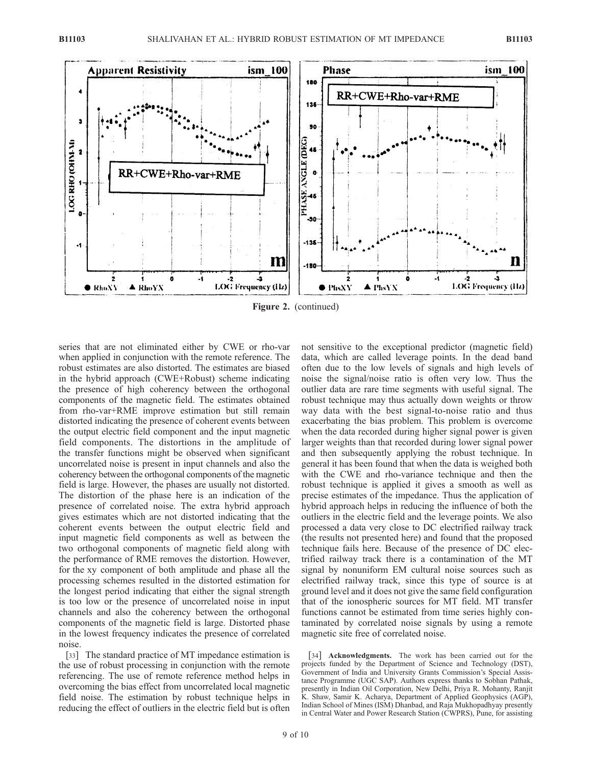

series that are not eliminated either by CWE or rho-var when applied in conjunction with the remote reference. The robust estimates are also distorted. The estimates are biased in the hybrid approach (CWE+Robust) scheme indicating the presence of high coherency between the orthogonal components of the magnetic field. The estimates obtained from rho-var+RME improve estimation but still remain distorted indicating the presence of coherent events between the output electric field component and the input magnetic field components. The distortions in the amplitude of the transfer functions might be observed when significant uncorrelated noise is present in input channels and also the coherency between the orthogonal components of the magnetic field is large. However, the phases are usually not distorted. The distortion of the phase here is an indication of the presence of correlated noise. The extra hybrid approach gives estimates which are not distorted indicating that the coherent events between the output electric field and input magnetic field components as well as between the two orthogonal components of magnetic field along with the performance of RME removes the distortion. However, for the xy component of both amplitude and phase all the processing schemes resulted in the distorted estimation for the longest period indicating that either the signal strength is too low or the presence of uncorrelated noise in input channels and also the coherency between the orthogonal components of the magnetic field is large. Distorted phase in the lowest frequency indicates the presence of correlated noise.

[33] The standard practice of MT impedance estimation is the use of robust processing in conjunction with the remote referencing. The use of remote reference method helps in overcoming the bias effect from uncorrelated local magnetic field noise. The estimation by robust technique helps in reducing the effect of outliers in the electric field but is often

not sensitive to the exceptional predictor (magnetic field) data, which are called leverage points. In the dead band often due to the low levels of signals and high levels of noise the signal/noise ratio is often very low. Thus the outlier data are rare time segments with useful signal. The robust technique may thus actually down weights or throw way data with the best signal-to-noise ratio and thus exacerbating the bias problem. This problem is overcome when the data recorded during higher signal power is given larger weights than that recorded during lower signal power and then subsequently applying the robust technique. In general it has been found that when the data is weighed both with the CWE and rho-variance technique and then the robust technique is applied it gives a smooth as well as precise estimates of the impedance. Thus the application of hybrid approach helps in reducing the influence of both the outliers in the electric field and the leverage points. We also processed a data very close to DC electrified railway track (the results not presented here) and found that the proposed technique fails here. Because of the presence of DC electrified railway track there is a contamination of the MT signal by nonuniform EM cultural noise sources such as electrified railway track, since this type of source is at ground level and it does not give the same field configuration that of the ionospheric sources for MT field. MT transfer functions cannot be estimated from time series highly contaminated by correlated noise signals by using a remote magnetic site free of correlated noise.

[34] **Acknowledgments.** The work has been carried out for the projects funded by the Department of Science and Technology (DST), Government of India and University Grants Commission's Special Assistance Programme (UGC SAP). Authors express thanks to Sobhan Pathak, presently in Indian Oil Corporation, New Delhi, Priya R. Mohanty, Ranjit K. Shaw, Samir K. Acharya, Department of Applied Geophysics (AGP), Indian School of Mines (ISM) Dhanbad, and Raja Mukhopadhyay presently in Central Water and Power Research Station (CWPRS), Pune, for assisting